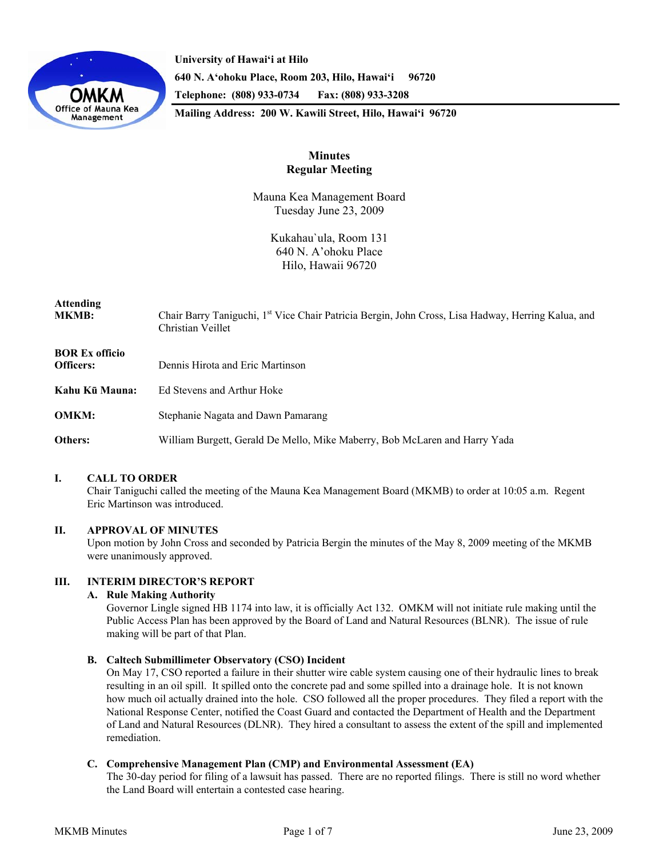

**University of Hawai'i at Hilo 640 N. A'ohoku Place, Room 203, Hilo, Hawai'i 96720 Telephone: (808) 933-0734 Fax: (808) 933-3208 Mailing Address: 200 W. Kawili Street, Hilo, Hawai'i 96720** 

## **Minutes Regular Meeting**

Mauna Kea Management Board Tuesday June 23, 2009

> Kukahau`ula, Room 131 640 N. A'ohoku Place Hilo, Hawaii 96720

# **Attending**

Chair Barry Taniguchi, 1<sup>st</sup> Vice Chair Patricia Bergin, John Cross, Lisa Hadway, Herring Kalua, and Christian Veillet

## **BOR Ex officio**

| <b>Officers:</b> | Dennis Hirota and Eric Martinson                                           |
|------------------|----------------------------------------------------------------------------|
| Kahu Kū Mauna:   | Ed Stevens and Arthur Hoke                                                 |
| <b>OMKM:</b>     | Stephanie Nagata and Dawn Pamarang                                         |
| Others:          | William Burgett, Gerald De Mello, Mike Maberry, Bob McLaren and Harry Yada |

## **I. CALL TO ORDER**

Chair Taniguchi called the meeting of the Mauna Kea Management Board (MKMB) to order at 10:05 a.m. Regent Eric Martinson was introduced.

## **II. APPROVAL OF MINUTES**

Upon motion by John Cross and seconded by Patricia Bergin the minutes of the May 8, 2009 meeting of the MKMB were unanimously approved.

## **III. INTERIM DIRECTOR'S REPORT**

## **A. Rule Making Authority**

Governor Lingle signed HB 1174 into law, it is officially Act 132. OMKM will not initiate rule making until the Public Access Plan has been approved by the Board of Land and Natural Resources (BLNR). The issue of rule making will be part of that Plan.

## **B. Caltech Submillimeter Observatory (CSO) Incident**

On May 17, CSO reported a failure in their shutter wire cable system causing one of their hydraulic lines to break resulting in an oil spill. It spilled onto the concrete pad and some spilled into a drainage hole. It is not known how much oil actually drained into the hole. CSO followed all the proper procedures. They filed a report with the National Response Center, notified the Coast Guard and contacted the Department of Health and the Department of Land and Natural Resources (DLNR). They hired a consultant to assess the extent of the spill and implemented remediation.

## **C. Comprehensive Management Plan (CMP) and Environmental Assessment (EA)**

The 30-day period for filing of a lawsuit has passed. There are no reported filings. There is still no word whether the Land Board will entertain a contested case hearing.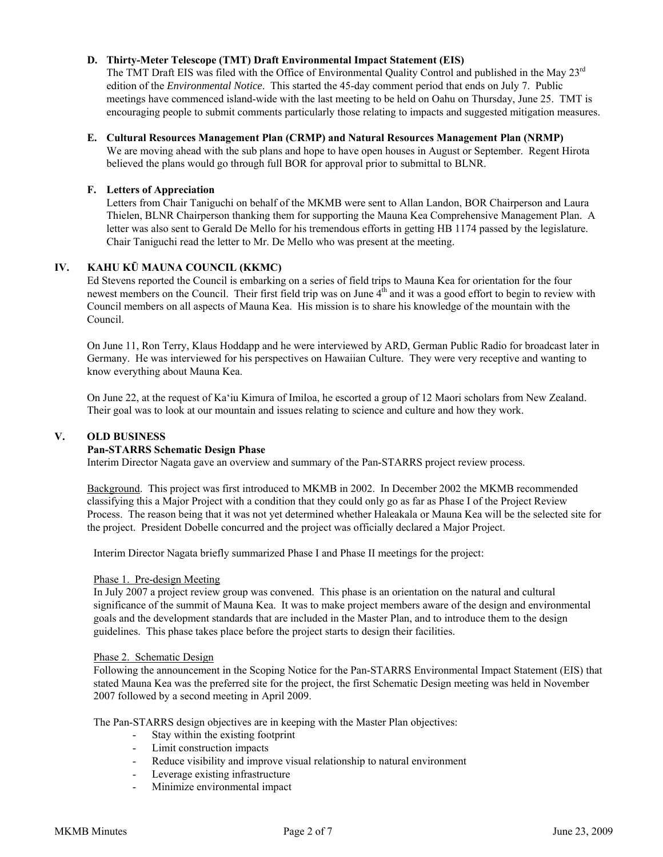### **D. Thirty-Meter Telescope (TMT) Draft Environmental Impact Statement (EIS)**

The TMT Draft EIS was filed with the Office of Environmental Quality Control and published in the May  $23<sup>rd</sup>$ edition of the *Environmental Notice*. This started the 45-day comment period that ends on July 7. Public meetings have commenced island-wide with the last meeting to be held on Oahu on Thursday, June 25. TMT is encouraging people to submit comments particularly those relating to impacts and suggested mitigation measures.

#### **E. Cultural Resources Management Plan (CRMP) and Natural Resources Management Plan (NRMP)**

We are moving ahead with the sub plans and hope to have open houses in August or September. Regent Hirota believed the plans would go through full BOR for approval prior to submittal to BLNR.

#### **F. Letters of Appreciation**

Letters from Chair Taniguchi on behalf of the MKMB were sent to Allan Landon, BOR Chairperson and Laura Thielen, BLNR Chairperson thanking them for supporting the Mauna Kea Comprehensive Management Plan. A letter was also sent to Gerald De Mello for his tremendous efforts in getting HB 1174 passed by the legislature. Chair Taniguchi read the letter to Mr. De Mello who was present at the meeting.

## **IV. KAHU KŪ MAUNA COUNCIL (KKMC)**

Ed Stevens reported the Council is embarking on a series of field trips to Mauna Kea for orientation for the four newest members on the Council. Their first field trip was on June  $4<sup>th</sup>$  and it was a good effort to begin to review with Council members on all aspects of Mauna Kea. His mission is to share his knowledge of the mountain with the Council.

On June 11, Ron Terry, Klaus Hoddapp and he were interviewed by ARD, German Public Radio for broadcast later in Germany. He was interviewed for his perspectives on Hawaiian Culture. They were very receptive and wanting to know everything about Mauna Kea.

On June 22, at the request of Ka'iu Kimura of Imiloa, he escorted a group of 12 Maori scholars from New Zealand. Their goal was to look at our mountain and issues relating to science and culture and how they work.

#### **V. OLD BUSINESS**

#### **Pan-STARRS Schematic Design Phase**

Interim Director Nagata gave an overview and summary of the Pan-STARRS project review process.

Background. This project was first introduced to MKMB in 2002. In December 2002 the MKMB recommended classifying this a Major Project with a condition that they could only go as far as Phase I of the Project Review Process. The reason being that it was not yet determined whether Haleakala or Mauna Kea will be the selected site for the project. President Dobelle concurred and the project was officially declared a Major Project.

Interim Director Nagata briefly summarized Phase I and Phase II meetings for the project:

#### Phase 1. Pre-design Meeting

In July 2007 a project review group was convened. This phase is an orientation on the natural and cultural significance of the summit of Mauna Kea. It was to make project members aware of the design and environmental goals and the development standards that are included in the Master Plan, and to introduce them to the design guidelines. This phase takes place before the project starts to design their facilities.

#### Phase 2. Schematic Design

Following the announcement in the Scoping Notice for the Pan-STARRS Environmental Impact Statement (EIS) that stated Mauna Kea was the preferred site for the project, the first Schematic Design meeting was held in November 2007 followed by a second meeting in April 2009.

The Pan-STARRS design objectives are in keeping with the Master Plan objectives:

- Stay within the existing footprint
- Limit construction impacts
- Reduce visibility and improve visual relationship to natural environment
- Leverage existing infrastructure
- Minimize environmental impact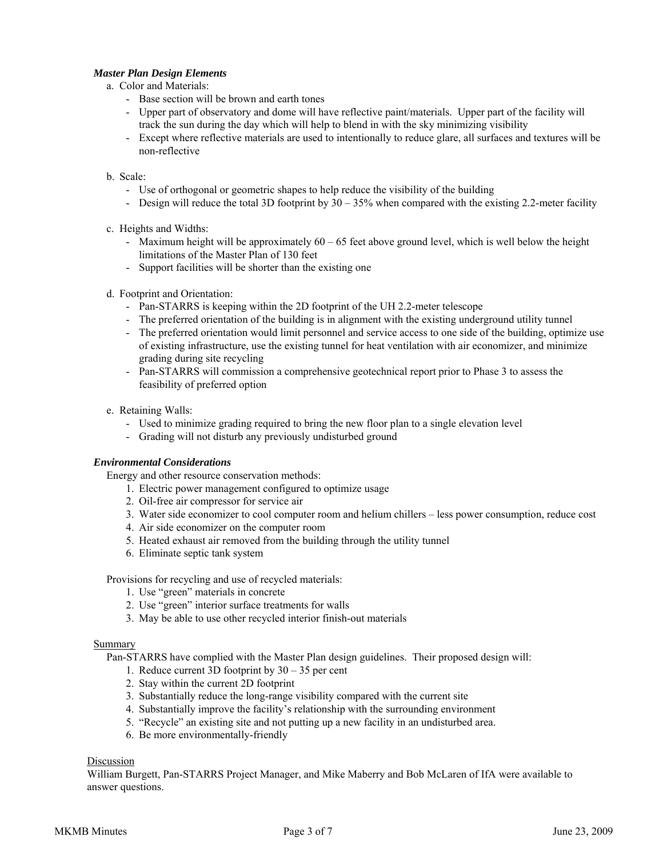#### *Master Plan Design Elements*

#### a. Color and Materials:

- Base section will be brown and earth tones
- Upper part of observatory and dome will have reflective paint/materials. Upper part of the facility will track the sun during the day which will help to blend in with the sky minimizing visibility
- Except where reflective materials are used to intentionally to reduce glare, all surfaces and textures will be non-reflective

### b. Scale:

- Use of orthogonal or geometric shapes to help reduce the visibility of the building
- Design will reduce the total 3D footprint by  $30 35\%$  when compared with the existing 2.2-meter facility
- c. Heights and Widths:
	- Maximum height will be approximately 60 65 feet above ground level, which is well below the height limitations of the Master Plan of 130 feet
	- Support facilities will be shorter than the existing one
- d. Footprint and Orientation:
	- Pan-STARRS is keeping within the 2D footprint of the UH 2.2-meter telescope
	- The preferred orientation of the building is in alignment with the existing underground utility tunnel
	- The preferred orientation would limit personnel and service access to one side of the building, optimize use of existing infrastructure, use the existing tunnel for heat ventilation with air economizer, and minimize grading during site recycling
	- Pan-STARRS will commission a comprehensive geotechnical report prior to Phase 3 to assess the feasibility of preferred option
- e. Retaining Walls:
	- Used to minimize grading required to bring the new floor plan to a single elevation level
	- Grading will not disturb any previously undisturbed ground

#### *Environmental Considerations*

Energy and other resource conservation methods:

- 1. Electric power management configured to optimize usage
- 2. Oil-free air compressor for service air
- 3. Water side economizer to cool computer room and helium chillers less power consumption, reduce cost
- 4. Air side economizer on the computer room
- 5. Heated exhaust air removed from the building through the utility tunnel
- 6. Eliminate septic tank system

Provisions for recycling and use of recycled materials:

- 1. Use "green" materials in concrete
- 2. Use "green" interior surface treatments for walls
- 3. May be able to use other recycled interior finish-out materials

#### Summary

Pan-STARRS have complied with the Master Plan design guidelines. Their proposed design will:

- 1. Reduce current 3D footprint by 30 35 per cent
- 2. Stay within the current 2D footprint
- 3. Substantially reduce the long-range visibility compared with the current site
- 4. Substantially improve the facility's relationship with the surrounding environment
- 5. "Recycle" an existing site and not putting up a new facility in an undisturbed area.
- 6. Be more environmentally-friendly

## Discussion

William Burgett, Pan-STARRS Project Manager, and Mike Maberry and Bob McLaren of IfA were available to answer questions.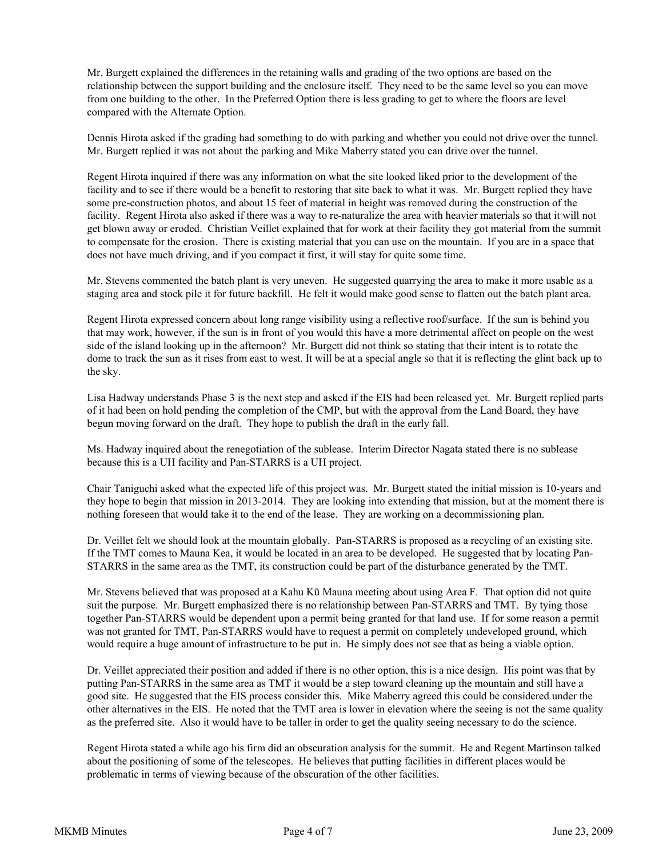Mr. Burgett explained the differences in the retaining walls and grading of the two options are based on the relationship between the support building and the enclosure itself. They need to be the same level so you can move from one building to the other. In the Preferred Option there is less grading to get to where the floors are level compared with the Alternate Option.

Dennis Hirota asked if the grading had something to do with parking and whether you could not drive over the tunnel. Mr. Burgett replied it was not about the parking and Mike Maberry stated you can drive over the tunnel.

Regent Hirota inquired if there was any information on what the site looked liked prior to the development of the facility and to see if there would be a benefit to restoring that site back to what it was. Mr. Burgett replied they have some pre-construction photos, and about 15 feet of material in height was removed during the construction of the facility. Regent Hirota also asked if there was a way to re-naturalize the area with heavier materials so that it will not get blown away or eroded. Christian Veillet explained that for work at their facility they got material from the summit to compensate for the erosion. There is existing material that you can use on the mountain. If you are in a space that does not have much driving, and if you compact it first, it will stay for quite some time.

Mr. Stevens commented the batch plant is very uneven. He suggested quarrying the area to make it more usable as a staging area and stock pile it for future backfill. He felt it would make good sense to flatten out the batch plant area.

Regent Hirota expressed concern about long range visibility using a reflective roof/surface. If the sun is behind you that may work, however, if the sun is in front of you would this have a more detrimental affect on people on the west side of the island looking up in the afternoon? Mr. Burgett did not think so stating that their intent is to rotate the dome to track the sun as it rises from east to west. It will be at a special angle so that it is reflecting the glint back up to the sky.

Lisa Hadway understands Phase 3 is the next step and asked if the EIS had been released yet. Mr. Burgett replied parts of it had been on hold pending the completion of the CMP, but with the approval from the Land Board, they have begun moving forward on the draft. They hope to publish the draft in the early fall.

Ms. Hadway inquired about the renegotiation of the sublease. Interim Director Nagata stated there is no sublease because this is a UH facility and Pan-STARRS is a UH project.

Chair Taniguchi asked what the expected life of this project was. Mr. Burgett stated the initial mission is 10-years and they hope to begin that mission in 2013-2014. They are looking into extending that mission, but at the moment there is nothing foreseen that would take it to the end of the lease. They are working on a decommissioning plan.

Dr. Veillet felt we should look at the mountain globally. Pan-STARRS is proposed as a recycling of an existing site. If the TMT comes to Mauna Kea, it would be located in an area to be developed. He suggested that by locating Pan-STARRS in the same area as the TMT, its construction could be part of the disturbance generated by the TMT.

Mr. Stevens believed that was proposed at a Kahu Kū Mauna meeting about using Area F. That option did not quite suit the purpose. Mr. Burgett emphasized there is no relationship between Pan-STARRS and TMT. By tying those together Pan-STARRS would be dependent upon a permit being granted for that land use. If for some reason a permit was not granted for TMT, Pan-STARRS would have to request a permit on completely undeveloped ground, which would require a huge amount of infrastructure to be put in. He simply does not see that as being a viable option.

Dr. Veillet appreciated their position and added if there is no other option, this is a nice design. His point was that by putting Pan-STARRS in the same area as TMT it would be a step toward cleaning up the mountain and still have a good site. He suggested that the EIS process consider this. Mike Maberry agreed this could be considered under the other alternatives in the EIS. He noted that the TMT area is lower in elevation where the seeing is not the same quality as the preferred site. Also it would have to be taller in order to get the quality seeing necessary to do the science.

Regent Hirota stated a while ago his firm did an obscuration analysis for the summit. He and Regent Martinson talked about the positioning of some of the telescopes. He believes that putting facilities in different places would be problematic in terms of viewing because of the obscuration of the other facilities.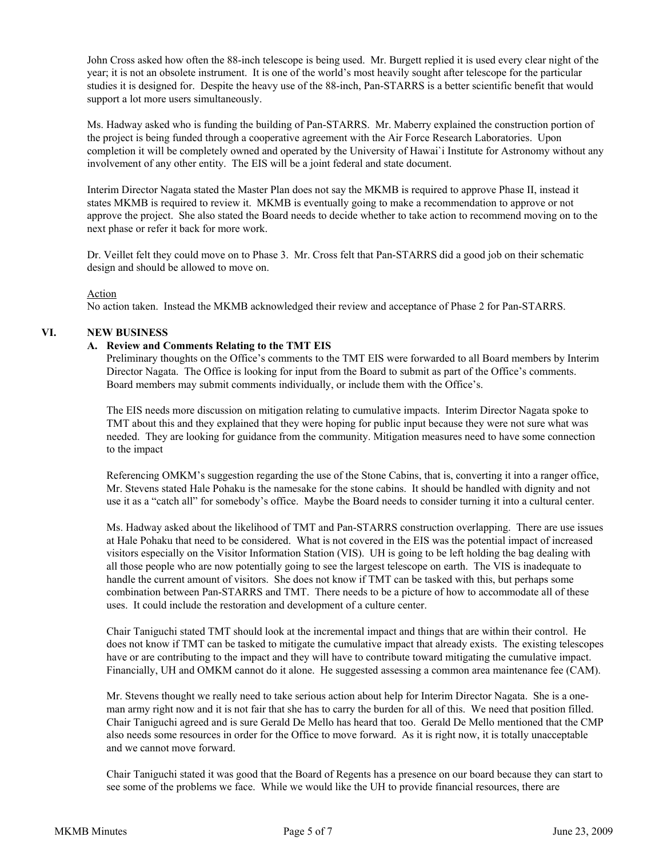John Cross asked how often the 88-inch telescope is being used. Mr. Burgett replied it is used every clear night of the year; it is not an obsolete instrument. It is one of the world's most heavily sought after telescope for the particular studies it is designed for. Despite the heavy use of the 88-inch, Pan-STARRS is a better scientific benefit that would support a lot more users simultaneously.

Ms. Hadway asked who is funding the building of Pan-STARRS. Mr. Maberry explained the construction portion of the project is being funded through a cooperative agreement with the Air Force Research Laboratories. Upon completion it will be completely owned and operated by the University of Hawai`i Institute for Astronomy without any involvement of any other entity. The EIS will be a joint federal and state document.

Interim Director Nagata stated the Master Plan does not say the MKMB is required to approve Phase II, instead it states MKMB is required to review it. MKMB is eventually going to make a recommendation to approve or not approve the project. She also stated the Board needs to decide whether to take action to recommend moving on to the next phase or refer it back for more work.

Dr. Veillet felt they could move on to Phase 3. Mr. Cross felt that Pan-STARRS did a good job on their schematic design and should be allowed to move on.

#### Action

No action taken. Instead the MKMB acknowledged their review and acceptance of Phase 2 for Pan-STARRS.

#### **VI. NEW BUSINESS**

#### **A. Review and Comments Relating to the TMT EIS**

Preliminary thoughts on the Office's comments to the TMT EIS were forwarded to all Board members by Interim Director Nagata. The Office is looking for input from the Board to submit as part of the Office's comments. Board members may submit comments individually, or include them with the Office's.

The EIS needs more discussion on mitigation relating to cumulative impacts. Interim Director Nagata spoke to TMT about this and they explained that they were hoping for public input because they were not sure what was needed. They are looking for guidance from the community. Mitigation measures need to have some connection to the impact

 Referencing OMKM's suggestion regarding the use of the Stone Cabins, that is, converting it into a ranger office, Mr. Stevens stated Hale Pohaku is the namesake for the stone cabins. It should be handled with dignity and not use it as a "catch all" for somebody's office. Maybe the Board needs to consider turning it into a cultural center.

 Ms. Hadway asked about the likelihood of TMT and Pan-STARRS construction overlapping. There are use issues at Hale Pohaku that need to be considered. What is not covered in the EIS was the potential impact of increased visitors especially on the Visitor Information Station (VIS). UH is going to be left holding the bag dealing with all those people who are now potentially going to see the largest telescope on earth. The VIS is inadequate to handle the current amount of visitors. She does not know if TMT can be tasked with this, but perhaps some combination between Pan-STARRS and TMT. There needs to be a picture of how to accommodate all of these uses. It could include the restoration and development of a culture center.

 Chair Taniguchi stated TMT should look at the incremental impact and things that are within their control. He does not know if TMT can be tasked to mitigate the cumulative impact that already exists. The existing telescopes have or are contributing to the impact and they will have to contribute toward mitigating the cumulative impact. Financially, UH and OMKM cannot do it alone. He suggested assessing a common area maintenance fee (CAM).

 Mr. Stevens thought we really need to take serious action about help for Interim Director Nagata. She is a oneman army right now and it is not fair that she has to carry the burden for all of this. We need that position filled. Chair Taniguchi agreed and is sure Gerald De Mello has heard that too. Gerald De Mello mentioned that the CMP also needs some resources in order for the Office to move forward. As it is right now, it is totally unacceptable and we cannot move forward.

Chair Taniguchi stated it was good that the Board of Regents has a presence on our board because they can start to see some of the problems we face. While we would like the UH to provide financial resources, there are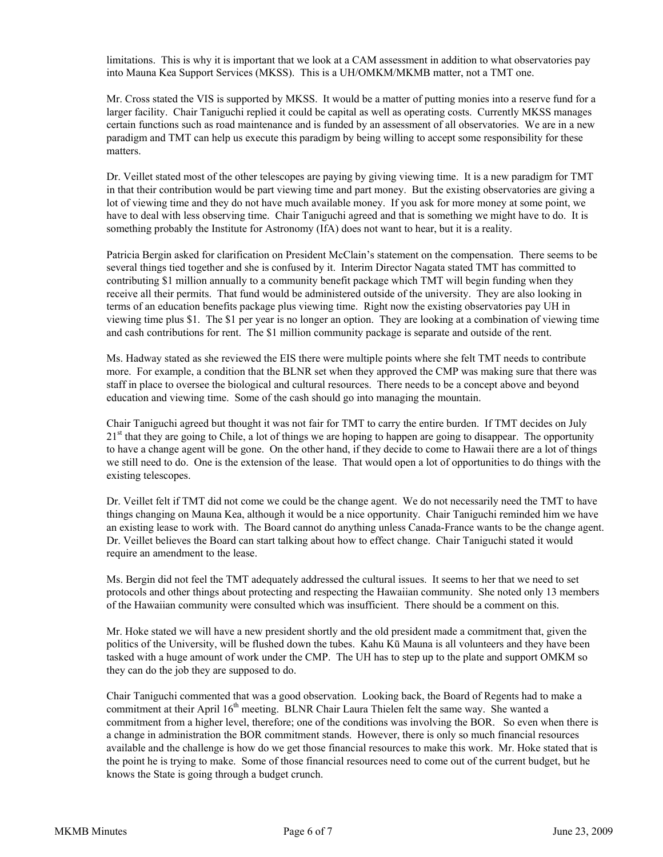limitations. This is why it is important that we look at a CAM assessment in addition to what observatories pay into Mauna Kea Support Services (MKSS). This is a UH/OMKM/MKMB matter, not a TMT one.

Mr. Cross stated the VIS is supported by MKSS. It would be a matter of putting monies into a reserve fund for a larger facility. Chair Taniguchi replied it could be capital as well as operating costs. Currently MKSS manages certain functions such as road maintenance and is funded by an assessment of all observatories. We are in a new paradigm and TMT can help us execute this paradigm by being willing to accept some responsibility for these matters.

Dr. Veillet stated most of the other telescopes are paying by giving viewing time. It is a new paradigm for TMT in that their contribution would be part viewing time and part money. But the existing observatories are giving a lot of viewing time and they do not have much available money. If you ask for more money at some point, we have to deal with less observing time. Chair Taniguchi agreed and that is something we might have to do. It is something probably the Institute for Astronomy (IfA) does not want to hear, but it is a reality.

Patricia Bergin asked for clarification on President McClain's statement on the compensation. There seems to be several things tied together and she is confused by it. Interim Director Nagata stated TMT has committed to contributing \$1 million annually to a community benefit package which TMT will begin funding when they receive all their permits. That fund would be administered outside of the university. They are also looking in terms of an education benefits package plus viewing time. Right now the existing observatories pay UH in viewing time plus \$1. The \$1 per year is no longer an option. They are looking at a combination of viewing time and cash contributions for rent. The \$1 million community package is separate and outside of the rent.

Ms. Hadway stated as she reviewed the EIS there were multiple points where she felt TMT needs to contribute more. For example, a condition that the BLNR set when they approved the CMP was making sure that there was staff in place to oversee the biological and cultural resources. There needs to be a concept above and beyond education and viewing time. Some of the cash should go into managing the mountain.

Chair Taniguchi agreed but thought it was not fair for TMT to carry the entire burden. If TMT decides on July  $21<sup>st</sup>$  that they are going to Chile, a lot of things we are hoping to happen are going to disappear. The opportunity to have a change agent will be gone. On the other hand, if they decide to come to Hawaii there are a lot of things we still need to do. One is the extension of the lease. That would open a lot of opportunities to do things with the existing telescopes.

Dr. Veillet felt if TMT did not come we could be the change agent. We do not necessarily need the TMT to have things changing on Mauna Kea, although it would be a nice opportunity. Chair Taniguchi reminded him we have an existing lease to work with. The Board cannot do anything unless Canada-France wants to be the change agent. Dr. Veillet believes the Board can start talking about how to effect change. Chair Taniguchi stated it would require an amendment to the lease.

Ms. Bergin did not feel the TMT adequately addressed the cultural issues. It seems to her that we need to set protocols and other things about protecting and respecting the Hawaiian community. She noted only 13 members of the Hawaiian community were consulted which was insufficient. There should be a comment on this.

Mr. Hoke stated we will have a new president shortly and the old president made a commitment that, given the politics of the University, will be flushed down the tubes. Kahu Kū Mauna is all volunteers and they have been tasked with a huge amount of work under the CMP. The UH has to step up to the plate and support OMKM so they can do the job they are supposed to do.

Chair Taniguchi commented that was a good observation. Looking back, the Board of Regents had to make a commitment at their April 16<sup>th</sup> meeting. BLNR Chair Laura Thielen felt the same way. She wanted a commitment from a higher level, therefore; one of the conditions was involving the BOR. So even when there is a change in administration the BOR commitment stands. However, there is only so much financial resources available and the challenge is how do we get those financial resources to make this work. Mr. Hoke stated that is the point he is trying to make. Some of those financial resources need to come out of the current budget, but he knows the State is going through a budget crunch.